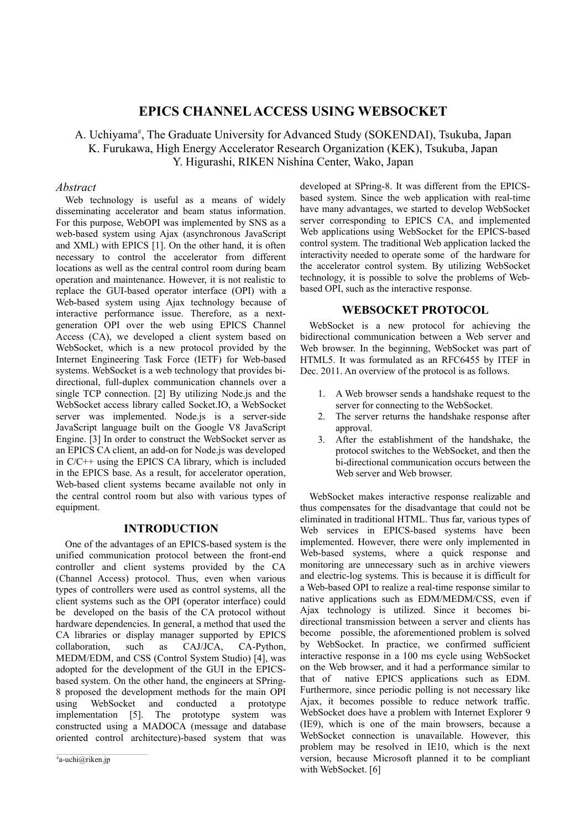# **EPICS CHANNEL ACCESS USING WEBSOCKET**

A. Uchiyama<sup>#</sup>, The Graduate University for Advanced Study (SOKENDAI), Tsukuba, Japan K. Furukawa, High Energy Accelerator Research Organization (KEK), Tsukuba, Japan Y. Higurashi, RIKEN Nishina Center, Wako, Japan

## *Abstract*

Web technology is useful as a means of widely disseminating accelerator and beam status information. For this purpose, WebOPI was implemented by SNS as a web-based system using Ajax (asynchronous JavaScript and XML) with EPICS [1]. On the other hand, it is often necessary to control the accelerator from different locations as well as the central control room during beam operation and maintenance. However, it is not realistic to replace the GUI-based operator interface (OPI) with a Web-based system using Ajax technology because of interactive performance issue. Therefore, as a nextgeneration OPI over the web using EPICS Channel Access (CA), we developed a client system based on WebSocket, which is a new protocol provided by the Internet Engineering Task Force (IETF) for Web-based systems. WebSocket is a web technology that provides bidirectional, full-duplex communication channels over a single TCP connection. [2] By utilizing Node.js and the WebSocket access library called Socket.IO, a WebSocket server was implemented. Node.js is a server-side JavaScript language built on the Google V8 JavaScript Engine. [3] In order to construct the WebSocket server as an EPICS CA client, an add-on for Node.js was developed in C/C++ using the EPICS CA library, which is included in the EPICS base. As a result, for accelerator operation, Web-based client systems became available not only in the central control room but also with various types of equipment.

## **INTRODUCTION**

One of the advantages of an EPICS-based system is the unified communication protocol between the front-end controller and client systems provided by the CA (Channel Access) protocol. Thus, even when various types of controllers were used as control systems, all the client systems such as the OPI (operator interface) could be developed on the basis of the CA protocol without hardware dependencies. In general, a method that used the CA libraries or display manager supported by EPICS collaboration, such as CAJ/JCA, CA-Python, MEDM/EDM, and CSS (Control System Studio) [4], was adopted for the development of the GUI in the EPICSbased system. On the other hand, the engineers at SPring-8 proposed the development methods for the main OPI using WebSocket and conducted a prototype implementation [5]. The prototype system was constructed using a MADOCA (message and database oriented control architecture)-based system that was

developed at SPring-8. It was different from the EPICSbased system. Since the web application with real-time have many advantages, we started to develop WebSocket server corresponding to EPICS CA, and implemented Web applications using WebSocket for the EPICS-based control system. The traditional Web application lacked the interactivity needed to operate some of the hardware for the accelerator control system. By utilizing WebSocket technology, it is possible to solve the problems of Webbased OPI, such as the interactive response.

# **WEBSOCKET PROTOCOL**

WebSocket is a new protocol for achieving the bidirectional communication between a Web server and Web browser. In the beginning, WebSocket was part of HTML5. It was formulated as an RFC6455 by ITEF in Dec. 2011. An overview of the protocol is as follows.

- 1. A Web browser sends a handshake request to the server for connecting to the WebSocket.
- 2. The server returns the handshake response after approval.
- 3. After the establishment of the handshake, the protocol switches to the WebSocket, and then the bi-directional communication occurs between the Web server and Web browser.

WebSocket makes interactive response realizable and thus compensates for the disadvantage that could not be eliminated in traditional HTML. Thus far, various types of Web services in EPICS-based systems have been implemented. However, there were only implemented in Web-based systems, where a quick response and monitoring are unnecessary such as in archive viewers and electric-log systems. This is because it is difficult for a Web-based OPI to realize a real-time response similar to native applications such as EDM/MEDM/CSS, even if Ajax technology is utilized. Since it becomes bidirectional transmission between a server and clients has become possible, the aforementioned problem is solved by WebSocket. In practice, we confirmed sufficient interactive response in a 100 ms cycle using WebSocket on the Web browser, and it had a performance similar to that of native EPICS applications such as EDM. Furthermore, since periodic polling is not necessary like Ajax, it becomes possible to reduce network traffic. WebSocket does have a problem with Internet Explorer 9 (IE9), which is one of the main browsers, because a WebSocket connection is unavailable. However, this problem may be resolved in IE10, which is the next version, because Microsoft planned it to be compliant with WebSocket. [6]

 $a^*$ a-uchi@riken.jp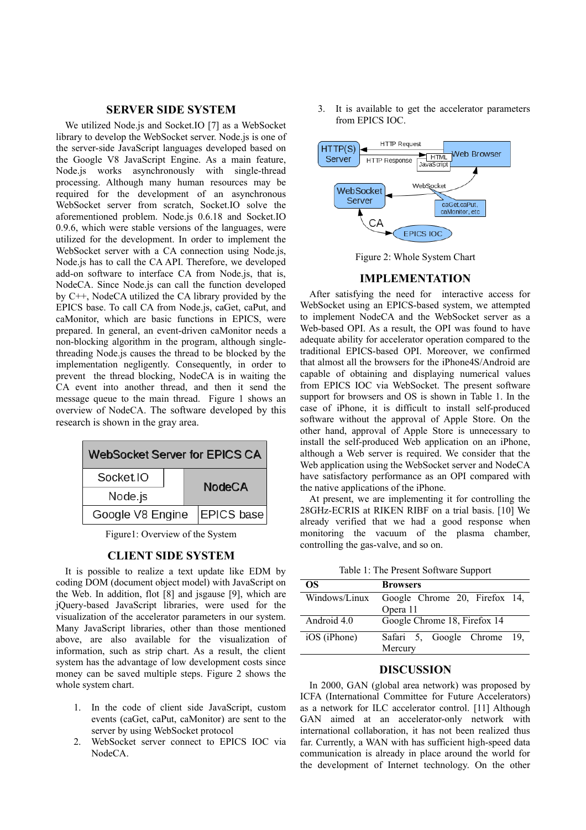#### **SERVER SIDE SYSTEM**

We utilized Node.js and Socket.IO [7] as a WebSocket library to develop the WebSocket server. Node.js is one of the server-side JavaScript languages developed based on the Google V8 JavaScript Engine. As a main feature, Node.js works asynchronously with single-thread processing. Although many human resources may be required for the development of an asynchronous WebSocket server from scratch, Socket.IO solve the aforementioned problem. Node.js 0.6.18 and Socket.IO 0.9.6, which were stable versions of the languages, were utilized for the development. In order to implement the WebSocket server with a CA connection using Node.js, Node.js has to call the CA API. Therefore, we developed add-on software to interface CA from Node.js, that is, NodeCA. Since Node.js can call the function developed by C++, NodeCA utilized the CA library provided by the EPICS base. To call CA from Node.js, caGet, caPut, and caMonitor, which are basic functions in EPICS, were prepared. In general, an event-driven caMonitor needs a non-blocking algorithm in the program, although singlethreading Node.js causes the thread to be blocked by the implementation negligently. Consequently, in order to prevent the thread blocking, NodeCA is in waiting the CA event into another thread, and then it send the message queue to the main thread. Figure 1 shows an overview of NodeCA. The software developed by this research is shown in the gray area.



Figure1: Overview of the System

# **CLIENT SIDE SYSTEM**

It is possible to realize a text update like EDM by coding DOM (document object model) with JavaScript on the Web. In addition, flot [8] and jsgause [9], which are jQuery-based JavaScript libraries, were used for the visualization of the accelerator parameters in our system. Many JavaScript libraries, other than those mentioned above, are also available for the visualization of information, such as strip chart. As a result, the client system has the advantage of low development costs since money can be saved multiple steps. Figure 2 shows the whole system chart.

- 1. In the code of client side JavaScript, custom events (caGet, caPut, caMonitor) are sent to the server by using WebSocket protocol
- 2. WebSocket server connect to EPICS IOC via NodeCA.

3. It is available to get the accelerator parameters from EPICS IOC.



Figure 2: Whole System Chart

#### **IMPLEMENTATION**

After satisfying the need for interactive access for WebSocket using an EPICS-based system, we attempted to implement NodeCA and the WebSocket server as a Web-based OPI. As a result, the OPI was found to have adequate ability for accelerator operation compared to the traditional EPICS-based OPI. Moreover, we confirmed that almost all the browsers for the iPhone4S/Android are capable of obtaining and displaying numerical values from EPICS IOC via WebSocket. The present software support for browsers and OS is shown in Table 1. In the case of iPhone, it is difficult to install self-produced software without the approval of Apple Store. On the other hand, approval of Apple Store is unnecessary to install the self-produced Web application on an iPhone, although a Web server is required. We consider that the Web application using the WebSocket server and NodeCA have satisfactory performance as an OPI compared with the native applications of the iPhone.

At present, we are implementing it for controlling the 28GHz-ECRIS at RIKEN RIBF on a trial basis. [10] We already verified that we had a good response when monitoring the vacuum of the plasma chamber, controlling the gas-valve, and so on.

Table 1: The Present Software Support

| OS            | <b>Browsers</b>               |
|---------------|-------------------------------|
| Windows/Linux | Google Chrome 20, Firefox 14, |
|               | Opera 11                      |
| Android 4.0   | Google Chrome 18, Firefox 14  |
| iOS (iPhone)  | Safari 5, Google Chrome 19,   |
|               | Mercury                       |

## **DISCUSSION**

In 2000, GAN (global area network) was proposed by ICFA (International Committee for Future Accelerators) as a network for ILC accelerator control. [11] Although GAN aimed at an accelerator-only network with international collaboration, it has not been realized thus far. Currently, a WAN with has sufficient high-speed data communication is already in place around the world for the development of Internet technology. On the other